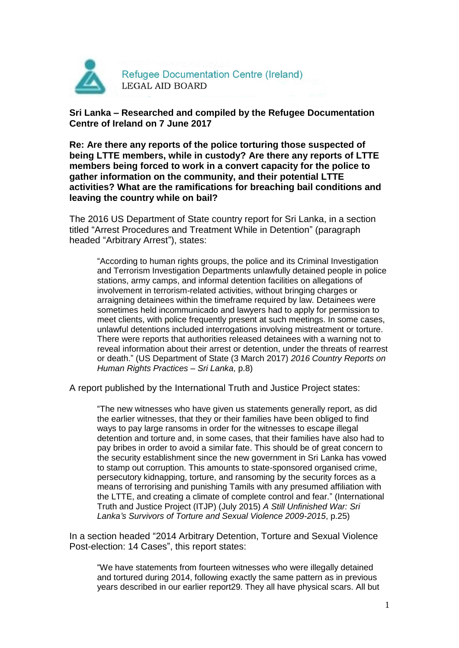

**Sri Lanka – Researched and compiled by the Refugee Documentation Centre of Ireland on 7 June 2017**

**Re: Are there any reports of the police torturing those suspected of being LTTE members, while in custody? Are there any reports of LTTE members being forced to work in a convert capacity for the police to gather information on the community, and their potential LTTE activities? What are the ramifications for breaching bail conditions and leaving the country while on bail?**

The 2016 US Department of State country report for Sri Lanka, in a section titled "Arrest Procedures and Treatment While in Detention" (paragraph headed "Arbitrary Arrest"), states:

"According to human rights groups, the police and its Criminal Investigation and Terrorism Investigation Departments unlawfully detained people in police stations, army camps, and informal detention facilities on allegations of involvement in terrorism-related activities, without bringing charges or arraigning detainees within the timeframe required by law. Detainees were sometimes held incommunicado and lawyers had to apply for permission to meet clients, with police frequently present at such meetings. In some cases, unlawful detentions included interrogations involving mistreatment or torture. There were reports that authorities released detainees with a warning not to reveal information about their arrest or detention, under the threats of rearrest or death." (US Department of State (3 March 2017) *2016 Country Reports on Human Rights Practices – Sri Lanka*, p.8)

A report published by the International Truth and Justice Project states:

"The new witnesses who have given us statements generally report, as did the earlier witnesses, that they or their families have been obliged to find ways to pay large ransoms in order for the witnesses to escape illegal detention and torture and, in some cases, that their families have also had to pay bribes in order to avoid a similar fate. This should be of great concern to the security establishment since the new government in Sri Lanka has vowed to stamp out corruption. This amounts to state-sponsored organised crime, persecutory kidnapping, torture, and ransoming by the security forces as a means of terrorising and punishing Tamils with any presumed affiliation with the LTTE, and creating a climate of complete control and fear." (International Truth and Justice Project (ITJP) (July 2015) *A Still Unfinished War: Sri Lanka's Survivors of Torture and Sexual Violence 2009-2015*, p.25)

In a section headed "2014 Arbitrary Detention, Torture and Sexual Violence Post-election: 14 Cases", this report states:

"We have statements from fourteen witnesses who were illegally detained and tortured during 2014, following exactly the same pattern as in previous years described in our earlier report29. They all have physical scars. All but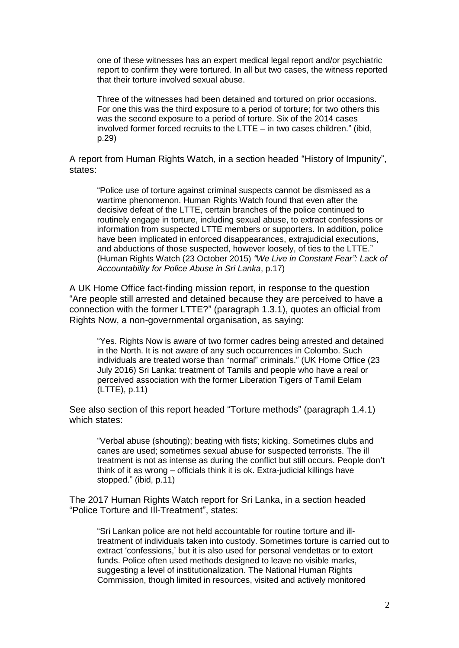one of these witnesses has an expert medical legal report and/or psychiatric report to confirm they were tortured. In all but two cases, the witness reported that their torture involved sexual abuse.

Three of the witnesses had been detained and tortured on prior occasions. For one this was the third exposure to a period of torture; for two others this was the second exposure to a period of torture. Six of the 2014 cases involved former forced recruits to the LTTE – in two cases children." (ibid, p.29)

A report from Human Rights Watch, in a section headed "History of Impunity", states:

"Police use of torture against criminal suspects cannot be dismissed as a wartime phenomenon. Human Rights Watch found that even after the decisive defeat of the LTTE, certain branches of the police continued to routinely engage in torture, including sexual abuse, to extract confessions or information from suspected LTTE members or supporters. In addition, police have been implicated in enforced disappearances, extrajudicial executions, and abductions of those suspected, however loosely, of ties to the LTTE." (Human Rights Watch (23 October 2015) *"We Live in Constant Fear": Lack of Accountability for Police Abuse in Sri Lanka*, p.17)

A UK Home Office fact-finding mission report, in response to the question "Are people still arrested and detained because they are perceived to have a connection with the former LTTE?" (paragraph 1.3.1), quotes an official from Rights Now, a non-governmental organisation, as saying:

"Yes. Rights Now is aware of two former cadres being arrested and detained in the North. It is not aware of any such occurrences in Colombo. Such individuals are treated worse than "normal" criminals." (UK Home Office (23 July 2016) Sri Lanka: treatment of Tamils and people who have a real or perceived association with the former Liberation Tigers of Tamil Eelam (LTTE), p.11)

See also section of this report headed "Torture methods" (paragraph 1.4.1) which states:

"Verbal abuse (shouting); beating with fists; kicking. Sometimes clubs and canes are used; sometimes sexual abuse for suspected terrorists. The ill treatment is not as intense as during the conflict but still occurs. People don't think of it as wrong – officials think it is ok. Extra-judicial killings have stopped." (ibid, p.11)

The 2017 Human Rights Watch report for Sri Lanka, in a section headed "Police Torture and Ill-Treatment", states:

"Sri Lankan police are not held accountable for routine torture and illtreatment of individuals taken into custody. Sometimes torture is carried out to extract 'confessions,' but it is also used for personal vendettas or to extort funds. Police often used methods designed to leave no visible marks, suggesting a level of institutionalization. The National Human Rights Commission, though limited in resources, visited and actively monitored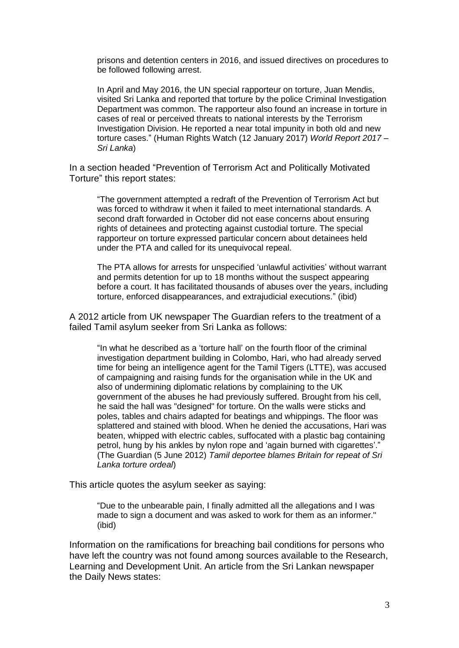prisons and detention centers in 2016, and issued directives on procedures to be followed following arrest.

In April and May 2016, the UN special rapporteur on torture, Juan Mendis, visited Sri Lanka and reported that torture by the police Criminal Investigation Department was common. The rapporteur also found an increase in torture in cases of real or perceived threats to national interests by the Terrorism Investigation Division. He reported a near total impunity in both old and new torture cases." (Human Rights Watch (12 January 2017) *World Report 2017 – Sri Lanka*)

In a section headed "Prevention of Terrorism Act and Politically Motivated Torture" this report states:

"The government attempted a redraft of the Prevention of Terrorism Act but was forced to withdraw it when it failed to meet international standards. A second draft forwarded in October did not ease concerns about ensuring rights of detainees and protecting against custodial torture. The special rapporteur on torture expressed particular concern about detainees held under the PTA and called for its unequivocal repeal.

The PTA allows for arrests for unspecified 'unlawful activities' without warrant and permits detention for up to 18 months without the suspect appearing before a court. It has facilitated thousands of abuses over the years, including torture, enforced disappearances, and extrajudicial executions." (ibid)

A 2012 article from UK newspaper The Guardian refers to the treatment of a failed Tamil asylum seeker from Sri Lanka as follows:

"In what he described as a 'torture hall' on the fourth floor of the criminal investigation department building in Colombo, Hari, who had already served time for being an intelligence agent for the Tamil Tigers (LTTE), was accused of campaigning and raising funds for the organisation while in the UK and also of undermining diplomatic relations by complaining to the UK government of the abuses he had previously suffered. Brought from his cell, he said the hall was "designed" for torture. On the walls were sticks and poles, tables and chairs adapted for beatings and whippings. The floor was splattered and stained with blood. When he denied the accusations, Hari was beaten, whipped with electric cables, suffocated with a plastic bag containing petrol, hung by his ankles by nylon rope and 'again burned with cigarettes'." (The Guardian (5 June 2012) *Tamil deportee blames Britain for repeat of Sri Lanka torture ordeal*)

This article quotes the asylum seeker as saying:

"Due to the unbearable pain, I finally admitted all the allegations and I was made to sign a document and was asked to work for them as an informer." (ibid)

Information on the ramifications for breaching bail conditions for persons who have left the country was not found among sources available to the Research, Learning and Development Unit. An article from the Sri Lankan newspaper the Daily News states: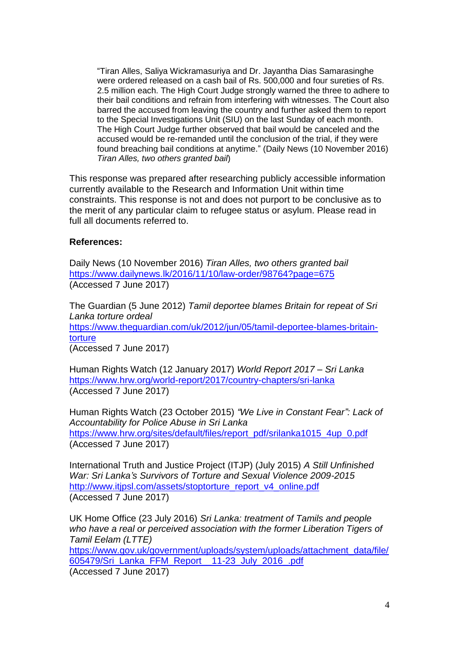"Tiran Alles, Saliya Wickramasuriya and Dr. Jayantha Dias Samarasinghe were ordered released on a cash bail of Rs. 500,000 and four sureties of Rs. 2.5 million each. The High Court Judge strongly warned the three to adhere to their bail conditions and refrain from interfering with witnesses. The Court also barred the accused from leaving the country and further asked them to report to the Special Investigations Unit (SIU) on the last Sunday of each month. The High Court Judge further observed that bail would be canceled and the accused would be re-remanded until the conclusion of the trial, if they were found breaching bail conditions at anytime." (Daily News (10 November 2016) *Tiran Alles, two others granted bail*)

This response was prepared after researching publicly accessible information currently available to the Research and Information Unit within time constraints. This response is not and does not purport to be conclusive as to the merit of any particular claim to refugee status or asylum. Please read in full all documents referred to.

## **References:**

Daily News (10 November 2016) *Tiran Alles, two others granted bail* <https://www.dailynews.lk/2016/11/10/law-order/98764?page=675> (Accessed 7 June 2017)

The Guardian (5 June 2012) *Tamil deportee blames Britain for repeat of Sri Lanka torture ordeal* [https://www.theguardian.com/uk/2012/jun/05/tamil-deportee-blames-britain](https://www.theguardian.com/uk/2012/jun/05/tamil-deportee-blames-britain-torture)[torture](https://www.theguardian.com/uk/2012/jun/05/tamil-deportee-blames-britain-torture) (Accessed 7 June 2017)

Human Rights Watch (12 January 2017) *World Report 2017 – Sri Lanka* <https://www.hrw.org/world-report/2017/country-chapters/sri-lanka> (Accessed 7 June 2017)

Human Rights Watch (23 October 2015) *"We Live in Constant Fear": Lack of Accountability for Police Abuse in Sri Lanka* [https://www.hrw.org/sites/default/files/report\\_pdf/srilanka1015\\_4up\\_0.pdf](https://www.hrw.org/sites/default/files/report_pdf/srilanka1015_4up_0.pdf) (Accessed 7 June 2017)

International Truth and Justice Project (ITJP) (July 2015) *A Still Unfinished War: Sri Lanka's Survivors of Torture and Sexual Violence 2009-2015* [http://www.itjpsl.com/assets/stoptorture\\_report\\_v4\\_online.pdf](http://www.itjpsl.com/assets/stoptorture_report_v4_online.pdf) (Accessed 7 June 2017)

UK Home Office (23 July 2016) *Sri Lanka: treatment of Tamils and people who have a real or perceived association with the former Liberation Tigers of Tamil Eelam (LTTE)*

[https://www.gov.uk/government/uploads/system/uploads/attachment\\_data/file/](https://www.gov.uk/government/uploads/system/uploads/attachment_data/file/605479/Sri_Lanka_FFM_Report__11-23_July_2016_.pdf) [605479/Sri\\_Lanka\\_FFM\\_Report\\_\\_11-23\\_July\\_2016\\_.pdf](https://www.gov.uk/government/uploads/system/uploads/attachment_data/file/605479/Sri_Lanka_FFM_Report__11-23_July_2016_.pdf) (Accessed 7 June 2017)